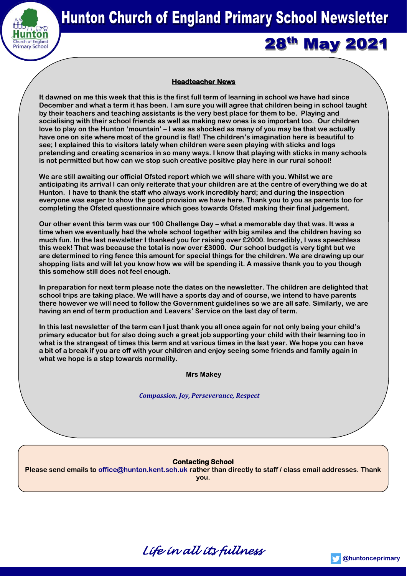

# **28th May 2021**

## **Headteacher News**

**It dawned on me this week that this is the first full term of learning in school we have had since December and what a term it has been. I am sure you will agree that children being in school taught by their teachers and teaching assistants is the very best place for them to be. Playing and socialising with their school friends as well as making new ones is so important too. Our children love to play on the Hunton 'mountain' – I was as shocked as many of you may be that we actually have one on site where most of the ground is flat! The children's imagination here is beautiful to see; I explained this to visitors lately when children were seen playing with sticks and logs pretending and creating scenarios in so many ways. I know that playing with sticks in many schools is not permitted but how can we stop such creative positive play here in our rural school!**

**We are still awaiting our official Ofsted report which we will share with you. Whilst we are anticipating its arrival I can only reiterate that your children are at the centre of everything we do at Hunton. I have to thank the staff who always work incredibly hard; and during the inspection everyone was eager to show the good provision we have here. Thank you to you as parents too for completing the Ofsted questionnaire which goes towards Ofsted making their final judgement.**

**Our other event this term was our 100 Challenge Day – what a memorable day that was. It was a time when we eventually had the whole school together with big smiles and the children having so much fun. In the last newsletter I thanked you for raising over £2000. Incredibly, I was speechless this week! That was because the total is now over £3000. Our school budget is very tight but we are determined to ring fence this amount for special things for the children. We are drawing up our shopping lists and will let you know how we will be spending it. A massive thank you to you though this somehow still does not feel enough.**

**In preparation for next term please note the dates on the newsletter. The children are delighted that school trips are taking place. We will have a sports day and of course, we intend to have parents there however we will need to follow the Government guidelines so we are all safe. Similarly, we are having an end of term production and Leavers' Service on the last day of term.** 

**In this last newsletter of the term can I just thank you all once again for not only being your child's primary educator but for also doing such a great job supporting your child with their learning too in what is the strangest of times this term and at various times in the last year. We hope you can have a bit of a break if you are off with your children and enjoy seeing some friends and family again in what we hope is a step towards normality.** 

**Mrs Makey**

## *Compassion, Joy, Perseverance, Respect*

## **Contacting School**

**Please send emails to [office@hunton.kent.sch.uk](mailto:office@hunton.kent.sch.uk) rather than directly to staff / class email addresses. Thank you.**



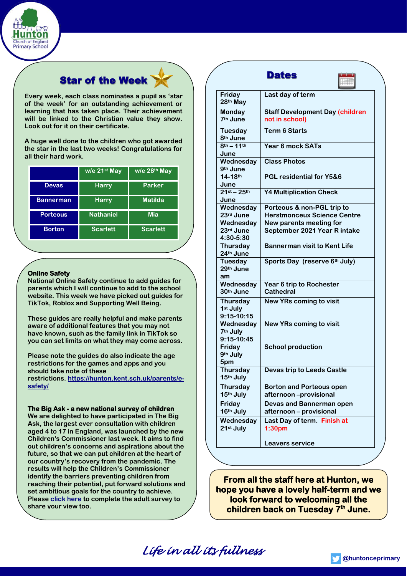

## **Star of the Week**

**Every week, each class nominates a pupil as 'star of the week' for an outstanding achievement or learning that has taken place. Their achievement will be linked to the Christian value they show. Look out for it on their certificate.** 

**A huge well done to the children who got awarded the star in the last two weeks! Congratulations for all their hard work.**

|                  | w/e 21st May     | w/e 28th May    |
|------------------|------------------|-----------------|
| <b>Devas</b>     | <b>Harry</b>     | <b>Parker</b>   |
| <b>Bannerman</b> | <b>Harry</b>     | <b>Matilda</b>  |
| <b>Porteous</b>  | <b>Nathaniel</b> | Mia             |
| <b>Borton</b>    | <b>Scarlett</b>  | <b>Scarlett</b> |

## **Online Safety**

**National Online Safety continue to add guides for parents which I will continue to add to the school website. This week we have picked out guides for TikTok, Roblox and Supporting Well Being.** 

**These guides are really helpful and make parents aware of additional features that you may not have known, such as the family link in TikTok so you can set limits on what they may come across.**

**Please note the guides do also indicate the age restrictions for the games and apps and you should take note of these**

**restrictions. [https://hunton.kent.sch.uk/parents/e](https://hunton.kent.sch.uk/parents/e-safety/)[safety/](https://hunton.kent.sch.uk/parents/e-safety/)**

## **The Big Ask - a new national survey of children**

**We are delighted to have participated in The Big Ask, the largest ever consultation with children aged 4 to 17 in England, was launched by the new Children's Commissioner last week. It aims to find out children's concerns and aspirations about the future, so that we can put children at the heart of our country's recovery from the pandemic. The results will help the Children's Commissioner identify the barriers preventing children from reaching their potential, put forward solutions and set ambitious goals for the country to achieve. Please [click here](https://www.childrenscommissioner.gov.uk/thebigask/) to complete the adult survey to share your view too.**

|                                           | <b>Dates</b>                                             |
|-------------------------------------------|----------------------------------------------------------|
| Friday<br>28th May                        | Last day of term                                         |
| Monday<br>7 <sup>th</sup> June            | <b>Staff Development Day (children</b><br>not in school) |
| Tuesday<br>8 <sup>th</sup> June           | <b>Term 6 Starts</b>                                     |
| $8^{th} - 11^{th}$<br>June                | Year 6 mock SATs                                         |
| Wednesday<br>9 <sup>th</sup> June         | <b>Class Photos</b>                                      |
| $14 - 18$ th<br>June                      | PGL residential for Y5&6                                 |
| $21^{st} - 25^{th}$<br>June               | <b>Y4 Multiplication Check</b>                           |
| Wednesday                                 | Porteous & non-PGL trip to                               |
| 23rd June                                 | <b>Herstmonceux Science Centre</b>                       |
| Wednesday                                 | New parents meeting for                                  |
| 23rd June<br>4:30-5:30                    | September 2021 Year R intake                             |
| <b>Thursday</b><br>24th June              | <b>Bannerman visit to Kent Life</b>                      |
| Tuesday<br>29 <sup>th</sup> June<br>am    | Sports Day (reserve 6th July)                            |
| Wednesday<br>30 <sup>th</sup> June        | Year 6 trip to Rochester<br>Cathedral                    |
| <b>Thursday</b><br>1st July<br>9:15-10:15 | <b>New YRs coming to visit</b>                           |
| Wednesday<br>7th July<br>9:15-10:45       | <b>New YRs coming to visit</b>                           |
| Friday<br>9th July<br>5pm                 | <b>School production</b>                                 |
| <b>Thursday</b><br>15th July              | <b>Devas trip to Leeds Castle</b>                        |
| <b>Thursday</b><br>15th July              | <b>Borton and Porteous open</b><br>afternoon-provisional |
| Friday<br>16th July                       | Devas and Bannerman open<br>afternoon - provisional      |
| Wednesday<br>21st July                    | Last Day of term. Finish at<br>1:30 <sub>pm</sub>        |
|                                           | <b>Leavers service</b>                                   |

**From all the staff here at Hunton, we hope you have a lovely half-term and we look forward to welcoming all the children back on Tuesday 7th June.**

*Life in all its fullness*